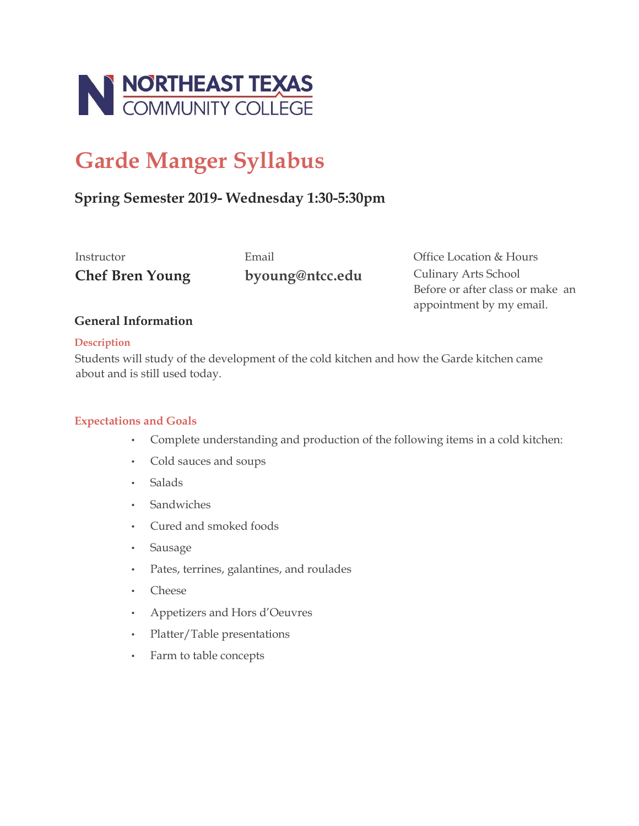

# **Garde Manger Syllabus**

## **Spring Semester 2019- Wednesday 1:30-5:30pm**

**Chef Bren Young byoung@ntcc.edu** Culinary Arts School

Instructor Email Office Location & Hours Before or after class or make an appointment by my email.

## **General Information**

#### **Description**

Students will study of the development of the cold kitchen and how the Garde kitchen came about and is still used today.

## **Expectations and Goals**

- Complete understanding and production of the following items in a cold kitchen:
- Cold sauces and soups
- Salads
- Sandwiches
- Cured and smoked foods
- Sausage
- Pates, terrines, galantines, and roulades
- Cheese
- Appetizers and Hors d'Oeuvres
- Platter/Table presentations
- Farm to table concepts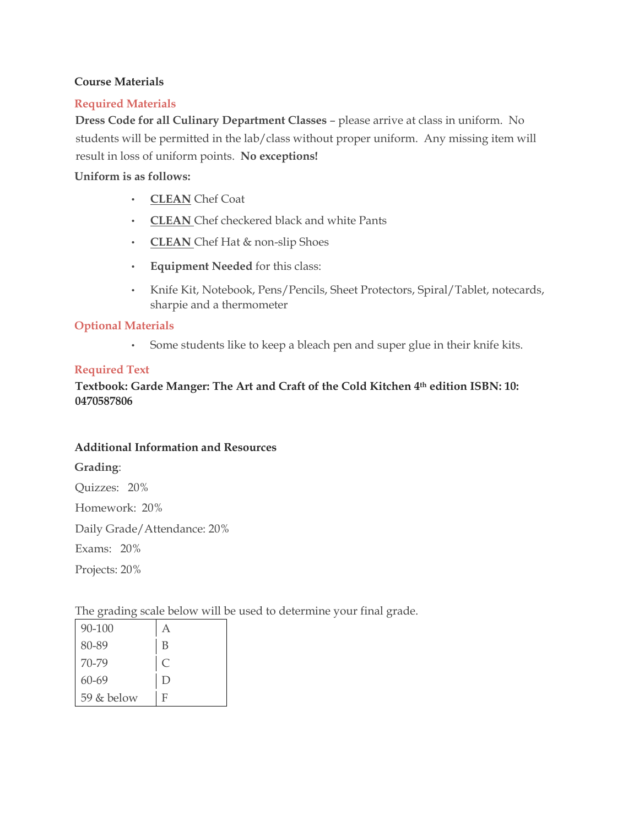#### **Course Materials**

#### **Required Materials**

**Dress Code for all Culinary Department Classes** – please arrive at class in uniform. No students will be permitted in the lab/class without proper uniform. Any missing item will result in loss of uniform points. **No exceptions!**

#### **Uniform is as follows:**

- **CLEAN** Chef Coat
- **CLEAN** Chef checkered black and white Pants
- **CLEAN** Chef Hat & non-slip Shoes
- **Equipment Needed** for this class:
- Knife Kit, Notebook, Pens/Pencils, Sheet Protectors, Spiral/Tablet, notecards, sharpie and a thermometer

#### **Optional Materials**

• Some students like to keep a bleach pen and super glue in their knife kits.

#### **Required Text**

**Textbook: Garde Manger: The Art and Craft of the Cold Kitchen 4th edition ISBN: 10: 0470587806** 

#### **Additional Information and Resources**

#### **Grading**:

Quizzes: 20%

Homework: 20%

Daily Grade/Attendance: 20%

Exams: 20%

Projects: 20%

The grading scale below will be used to determine your final grade.

| 90-100     | Α           |
|------------|-------------|
| 80-89      | B           |
| 70-79      | $\mathsf C$ |
| 60-69      | D           |
| 59 & below | F           |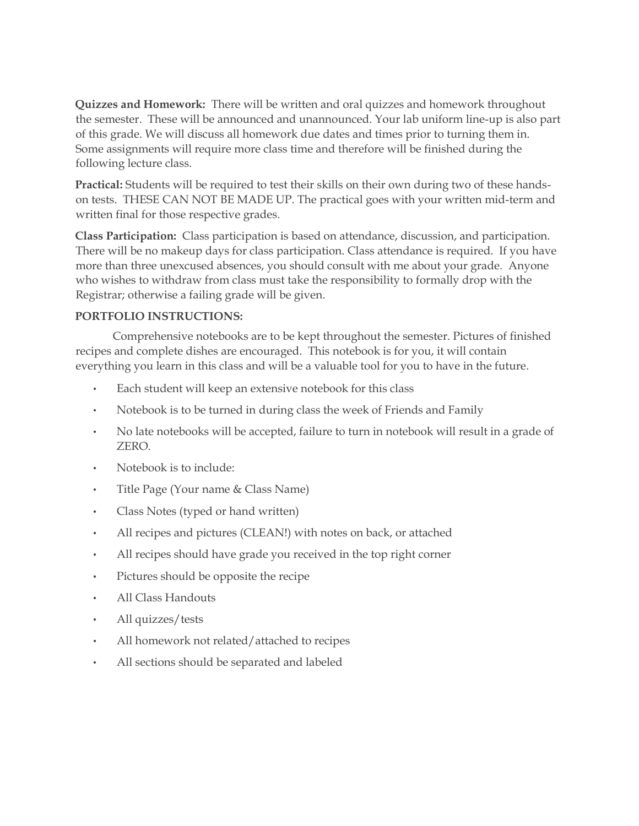**Quizzes and Homework:** There will be written and oral quizzes and homework throughout the semester. These will be announced and unannounced. Your lab uniform line-up is also part of this grade. We will discuss all homework due dates and times prior to turning them in. Some assignments will require more class time and therefore will be finished during the following lecture class.

**Practical:** Students will be required to test their skills on their own during two of these handson tests. THESE CAN NOT BE MADE UP. The practical goes with your written mid-term and written final for those respective grades.

**Class Participation:** Class participation is based on attendance, discussion, and participation. There will be no makeup days for class participation. Class attendance is required. If you have more than three unexcused absences, you should consult with me about your grade. Anyone who wishes to withdraw from class must take the responsibility to formally drop with the Registrar; otherwise a failing grade will be given.

## **PORTFOLIO INSTRUCTIONS:**

Comprehensive notebooks are to be kept throughout the semester. Pictures of finished recipes and complete dishes are encouraged. This notebook is for you, it will contain everything you learn in this class and will be a valuable tool for you to have in the future.

- Each student will keep an extensive notebook for this class
- Notebook is to be turned in during class the week of Friends and Family
- No late notebooks will be accepted, failure to turn in notebook will result in a grade of ZERO.
- Notebook is to include:
- Title Page (Your name & Class Name)
- Class Notes (typed or hand written)
- All recipes and pictures (CLEAN!) with notes on back, or attached
- All recipes should have grade you received in the top right corner
- Pictures should be opposite the recipe
- All Class Handouts
- All quizzes/tests
- All homework not related/attached to recipes
- All sections should be separated and labeled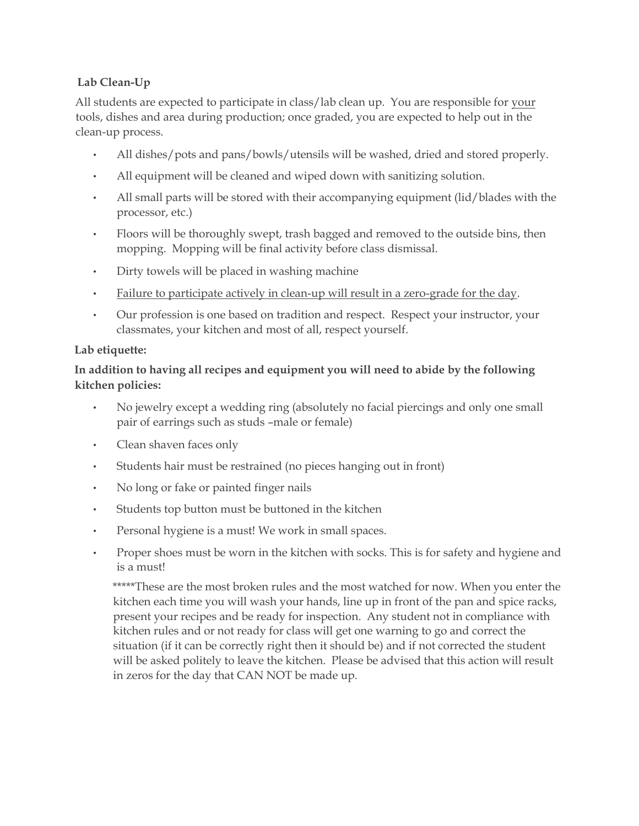## **Lab Clean-Up**

All students are expected to participate in class/lab clean up. You are responsible for your tools, dishes and area during production; once graded, you are expected to help out in the clean-up process.

- All dishes/pots and pans/bowls/utensils will be washed, dried and stored properly.
- All equipment will be cleaned and wiped down with sanitizing solution.
- All small parts will be stored with their accompanying equipment (lid/blades with the processor, etc.)
- Floors will be thoroughly swept, trash bagged and removed to the outside bins, then mopping. Mopping will be final activity before class dismissal.
- Dirty towels will be placed in washing machine
- Failure to participate actively in clean-up will result in a zero-grade for the day.
- Our profession is one based on tradition and respect. Respect your instructor, your classmates, your kitchen and most of all, respect yourself.

## **Lab etiquette:**

## **In addition to having all recipes and equipment you will need to abide by the following kitchen policies:**

- No jewelry except a wedding ring (absolutely no facial piercings and only one small pair of earrings such as studs –male or female)
- Clean shaven faces only
- Students hair must be restrained (no pieces hanging out in front)
- No long or fake or painted finger nails
- Students top button must be buttoned in the kitchen
- Personal hygiene is a must! We work in small spaces.
- Proper shoes must be worn in the kitchen with socks. This is for safety and hygiene and is a must!

\*\*\*\*\*These are the most broken rules and the most watched for now. When you enter the kitchen each time you will wash your hands, line up in front of the pan and spice racks, present your recipes and be ready for inspection. Any student not in compliance with kitchen rules and or not ready for class will get one warning to go and correct the situation (if it can be correctly right then it should be) and if not corrected the student will be asked politely to leave the kitchen. Please be advised that this action will result in zeros for the day that CAN NOT be made up.